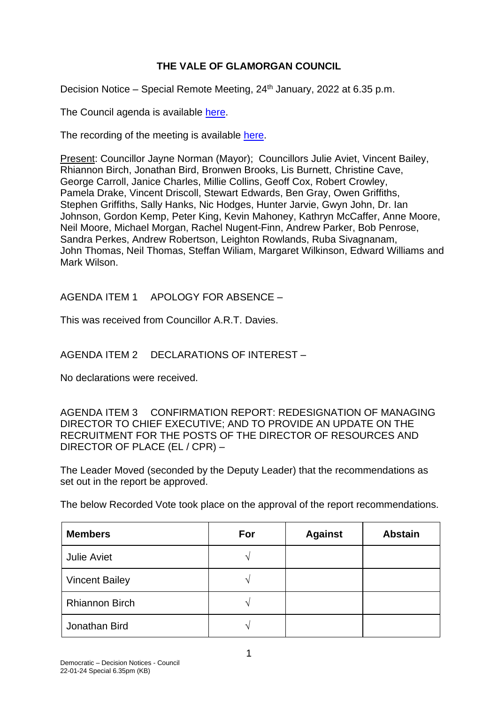## **THE VALE OF GLAMORGAN COUNCIL**

Decision Notice – Special Remote Meeting, 24th January, 2022 at 6.35 p.m.

The Council agenda is available [here.](https://www.valeofglamorgan.gov.uk/en/our_council/Council-Structure/minutes,_agendas_and_reports/agendas/council/2022/22-01-24-6.35.aspx)

The recording of the meeting is available [here.](https://www.youtube.com/watch?v=Dq4YnmR_hHQ&list=PLzt4i14pgqIFIu5GcsMs1g6b5IUR90m5d&index=1&t=2601s)

Present: Councillor Jayne Norman (Mayor); Councillors Julie Aviet, Vincent Bailey, Rhiannon Birch, Jonathan Bird, Bronwen Brooks, Lis Burnett, Christine Cave, George Carroll, Janice Charles, Millie Collins, Geoff Cox, Robert Crowley, Pamela Drake, Vincent Driscoll, Stewart Edwards, Ben Gray, Owen Griffiths, Stephen Griffiths, Sally Hanks, Nic Hodges, Hunter Jarvie, Gwyn John, Dr. Ian Johnson, Gordon Kemp, Peter King, Kevin Mahoney, Kathryn McCaffer, Anne Moore, Neil Moore, Michael Morgan, Rachel Nugent-Finn, Andrew Parker, Bob Penrose, Sandra Perkes, Andrew Robertson, Leighton Rowlands, Ruba Sivagnanam, John Thomas, Neil Thomas, Steffan Wiliam, Margaret Wilkinson, Edward Williams and Mark Wilson.

AGENDA ITEM 1 APOLOGY FOR ABSENCE –

This was received from Councillor A.R.T. Davies.

AGENDA ITEM 2 DECLARATIONS OF INTEREST –

No declarations were received.

AGENDA ITEM 3 CONFIRMATION REPORT: REDESIGNATION OF MANAGING DIRECTOR TO CHIEF EXECUTIVE; AND TO PROVIDE AN UPDATE ON THE RECRUITMENT FOR THE POSTS OF THE DIRECTOR OF RESOURCES AND DIRECTOR OF PLACE (EL / CPR) –

The Leader Moved (seconded by the Deputy Leader) that the recommendations as set out in the report be approved.

The below Recorded Vote took place on the approval of the report recommendations.

| <b>Members</b>        | For | <b>Against</b> | <b>Abstain</b> |
|-----------------------|-----|----------------|----------------|
| <b>Julie Aviet</b>    | ٨   |                |                |
| <b>Vincent Bailey</b> | ٦   |                |                |
| <b>Rhiannon Birch</b> | ᄾ   |                |                |
| Jonathan Bird         | 1   |                |                |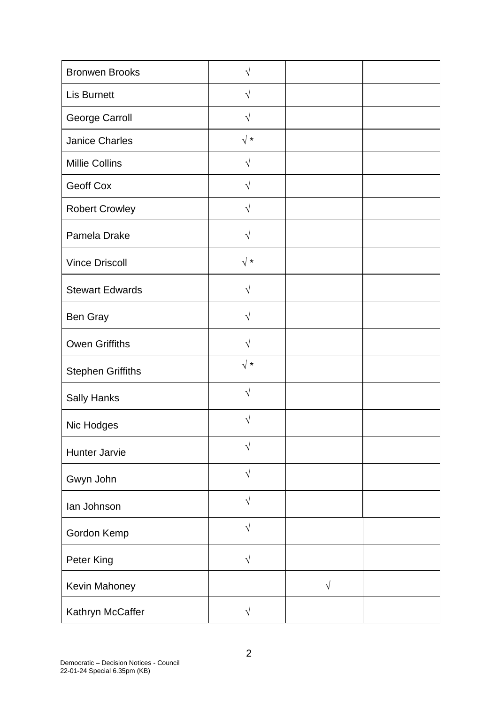| <b>Bronwen Brooks</b>    | $\sqrt{}$  |           |  |
|--------------------------|------------|-----------|--|
| <b>Lis Burnett</b>       | $\sqrt{}$  |           |  |
| <b>George Carroll</b>    | $\sqrt{}$  |           |  |
| <b>Janice Charles</b>    | $\sqrt{*}$ |           |  |
| <b>Millie Collins</b>    | $\sqrt{}$  |           |  |
| Geoff Cox                | $\sqrt{}$  |           |  |
| <b>Robert Crowley</b>    | $\sqrt{}$  |           |  |
| Pamela Drake             | $\sqrt{ }$ |           |  |
| <b>Vince Driscoll</b>    | $\sqrt{*}$ |           |  |
| <b>Stewart Edwards</b>   | $\sqrt{}$  |           |  |
| Ben Gray                 | $\sqrt{}$  |           |  |
| <b>Owen Griffiths</b>    | $\sqrt{}$  |           |  |
| <b>Stephen Griffiths</b> | $\sqrt{*}$ |           |  |
| <b>Sally Hanks</b>       | $\sqrt{}$  |           |  |
| Nic Hodges               | V          |           |  |
| Hunter Jarvie            | $\sqrt{}$  |           |  |
| Gwyn John                | $\sqrt{ }$ |           |  |
| lan Johnson              | $\sqrt{ }$ |           |  |
| Gordon Kemp              | $\sqrt{ }$ |           |  |
| Peter King               | $\sqrt{ }$ |           |  |
| Kevin Mahoney            |            | $\sqrt{}$ |  |
| Kathryn McCaffer         | $\sqrt{}$  |           |  |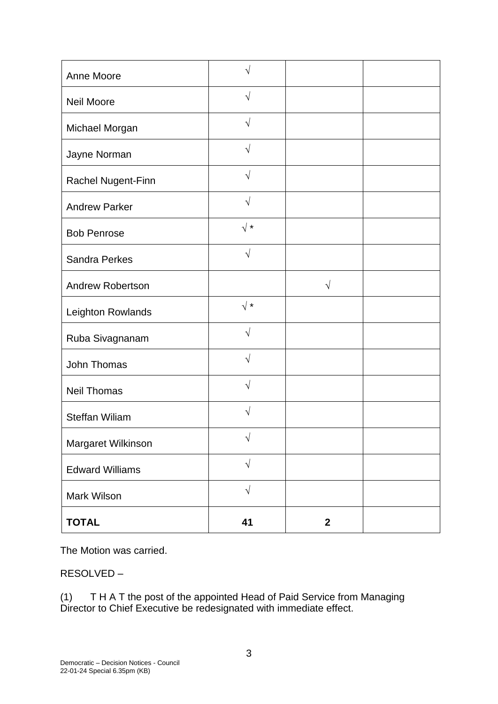| Anne Moore              | N             |                |  |
|-------------------------|---------------|----------------|--|
| <b>Neil Moore</b>       | $\sqrt{}$     |                |  |
| Michael Morgan          | $\sqrt{}$     |                |  |
| Jayne Norman            | $\mathcal{N}$ |                |  |
| Rachel Nugent-Finn      | $\sqrt{ }$    |                |  |
| <b>Andrew Parker</b>    | $\sqrt{ }$    |                |  |
| <b>Bob Penrose</b>      | $\sqrt{*}$    |                |  |
| <b>Sandra Perkes</b>    | $\sqrt{}$     |                |  |
| <b>Andrew Robertson</b> |               | $\sqrt{}$      |  |
| Leighton Rowlands       | $\sqrt{*}$    |                |  |
| Ruba Sivagnanam         | $\sqrt{}$     |                |  |
| John Thomas             | V             |                |  |
| <b>Neil Thomas</b>      | $\sqrt{}$     |                |  |
| <b>Steffan Wiliam</b>   | $\sqrt{}$     |                |  |
| Margaret Wilkinson      | $\sqrt{ }$    |                |  |
| <b>Edward Williams</b>  | $\sqrt{ }$    |                |  |
| Mark Wilson             | $\sqrt{ }$    |                |  |
| <b>TOTAL</b>            | 41            | $\overline{2}$ |  |

The Motion was carried.

RESOLVED –

(1) T H A T the post of the appointed Head of Paid Service from Managing Director to Chief Executive be redesignated with immediate effect.